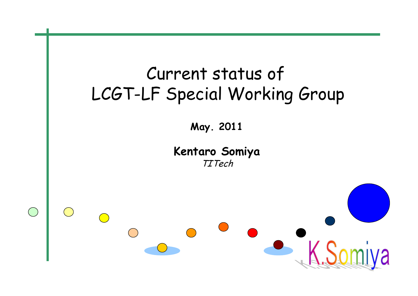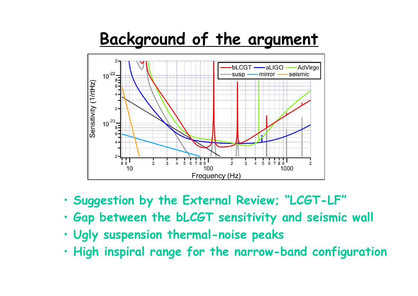## **Background of the argument**



- **Suggestion by the External Review; "LCGT-LF"**
- **Gap between the bLCGT sensitivity and seismic wall**
- **Ugly suspension thermal-noise peaks**
- **High inspiral range for the narrow-band configuration**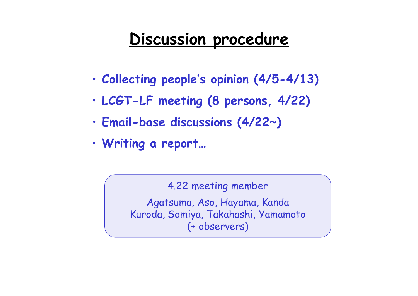## **Discussion procedure**

- **Collecting people's opinion (4/5-4/13)**
- **LCGT-LF meeting (8 persons, 4/22)**
- **Email-base discussions (4/22~)**
- **Writing a report…**

4.22 meeting member

Agatsuma, Aso, Hayama, Kanda Kuroda, Somiya, Takahashi, Yamamoto (+ observers)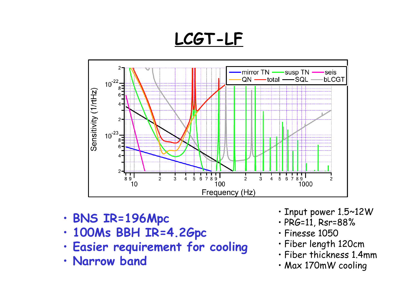**LCGT-LF**



- **BNS IR=196Mpc**
- **100Ms BBH IR=4.2Gpc**
- **Easier requirement for cooling**
- **Narrow band**
- Input power 1.5~12W
- PRG=11, Rsr=88%
- Finesse 1050
- Fiber length 120cm
- Fiber thickness 1.4mm
- Max 170mW cooling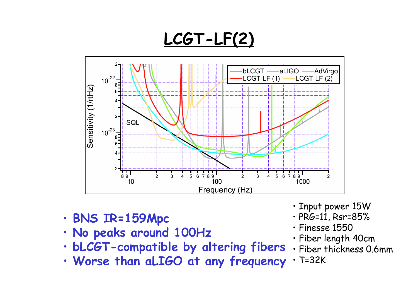**LCGT-LF(2)**



- **BNS IR=159Mpc**
- **No peaks around 100Hz**
- **bLCGT-compatible by altering fibers**
- **Worse than aLIGO at any frequency**
- Input power 15W
- PRG=11, Rsr=85%
- Finesse 1550
- Fiber length 40cm
- Fiber thickness 0.6mm
- T=32K